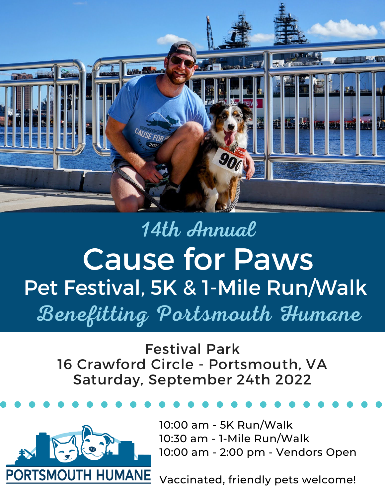

# 14th Annual Cause for Paws Pet Festival, 5K & 1-Mile Run/Walk Benefitting Portsmouth Humane

Festival Park 16 Crawford Circle - Portsmouth, VA Saturday, September 24th 2022



10:00 am - 5K Run/Walk 10:30 am - 1-Mile Run/Walk 10:00 am - 2:00 pm - Vendors Open

Vaccinated, friendly pets welcome!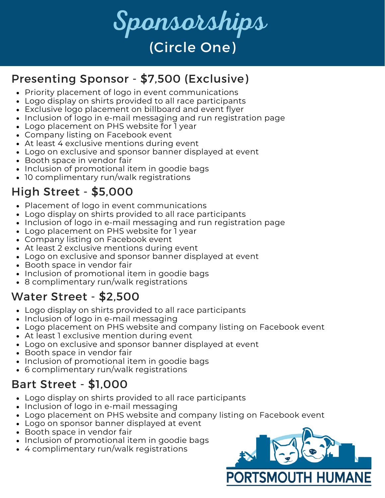

## Presenting Sponsor - \$7,500 (Exclusive)

- Priority placement of logo in event communications
- Logo display on shirts provided to all race participants
- Exclusive logo placement on billboard and event flyer
- Inclusion of logo in e-mail messaging and run registration page
- Logo placement on PHS website for 1 year
- Company listing on Facebook event
- At least 4 exclusive mentions during event
- Logo on exclusive and sponsor banner displayed at event
- Booth space in vendor fair
- Inclusion of promotional item in goodie bags
- 10 complimentary run/walk registrations

# High Street - \$5,000

- Placement of logo in event communications
- Logo display on shirts provided to all race participants
- Inclusion of logo in e-mail messaging and run registration page
- Logo placement on PHS website for 1 year
- Company listing on Facebook event
- At least 2 exclusive mentions during event
- Logo on exclusive and sponsor banner displayed at event
- Booth space in vendor fair
- Inclusion of promotional item in goodie bags
- 8 complimentary run/walk registrations

#### Water Street - \$2,500

- Logo display on shirts provided to all race participants
- Inclusion of logo in e-mail messaging
- Logo placement on PHS website and company listing on Facebook event
- At least 1 exclusive mention during event
- Logo on exclusive and sponsor banner displayed at event
- Booth space in vendor fair
- Inclusion of promotional item in goodie bags
- 6 complimentary run/walk registrations

#### Bart Street - \$1,000

- Logo display on shirts provided to all race participants
- Inclusion of logo in e-mail messaging
- Logo placement on PHS website and company listing on Facebook event
- Logo on sponsor banner displayed at event
- Booth space in vendor fair
- Inclusion of promotional item in goodie bags
- 4 complimentary run/walk registrations

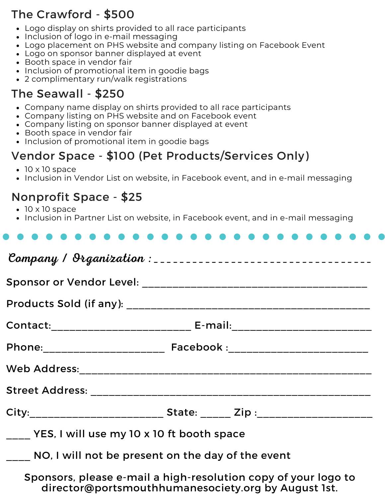# The Crawford - \$500

- Logo display on shirts provided to all race participants
- Inclusion of logo in e-mail messaging
- Logo placement on PHS website and company listing on Facebook Event
- Logo on sponsor banner displayed at event
- Booth space in vendor fair
- Inclusion of promotional item in goodie bags
- 2 complimentary run/walk registrations

### The Seawall - \$250

- Company name display on shirts provided to all race participants
- Company listing on PHS website and on Facebook event
- Company listing on sponsor banner displayed at event
- Booth space in vendor fair
- Inclusion of promotional item in goodie bags

## Vendor Space - \$100 (Pet Products/Services Only)

- $\bullet$  10 x 10 space
- Inclusion in Vendor List on website, in Facebook event, and in e-mail messaging

#### Nonprofit Space - \$25

- $\cdot$  10 x 10 space
- Inclusion in Partner List on website, in Facebook event, and in e-mail messaging

| YES, I will use my 10 x 10 ft booth space                      |  |  |  |  |  |  |  |  |  |  |
|----------------------------------------------------------------|--|--|--|--|--|--|--|--|--|--|
| NO, I will not be present on the day of the event              |  |  |  |  |  |  |  |  |  |  |
| Sponsors, please e-mail a high-resolution copy of your logo to |  |  |  |  |  |  |  |  |  |  |

director@portsmouthhumanesociety.org by August 1st.